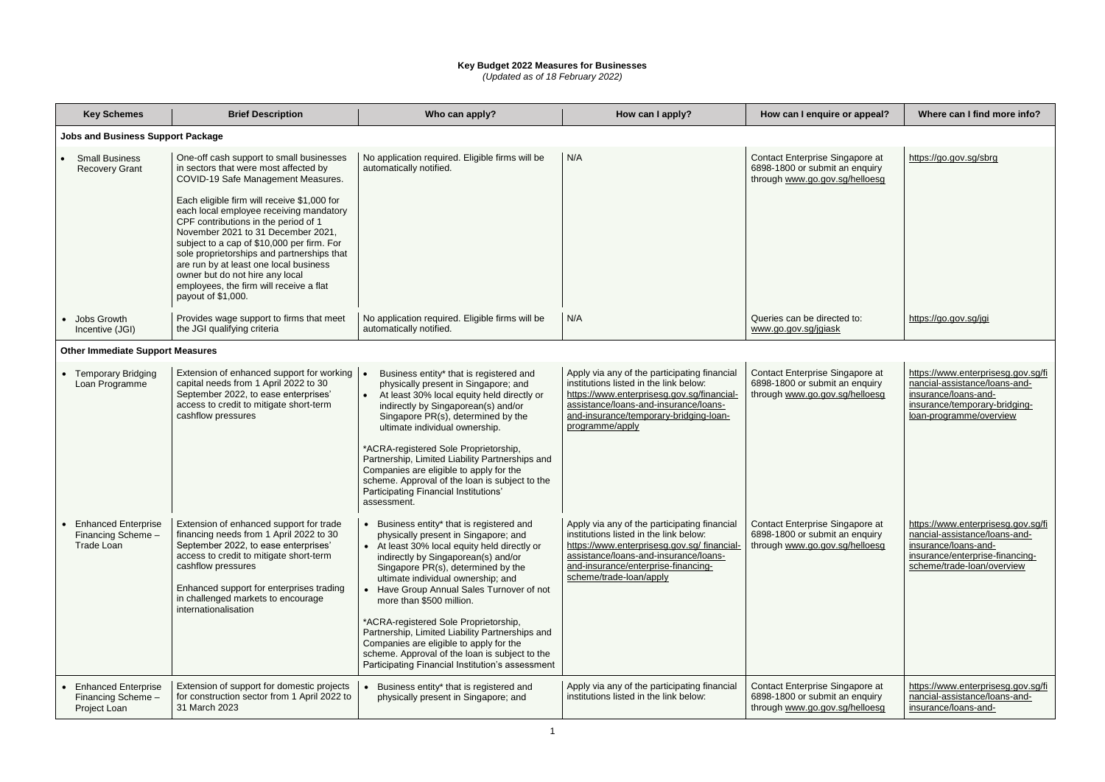## **Key Budget 2022 Measures for Businesses**

*(Updated as of 18 February 2022)*

| <b>Key Schemes</b>                                                    | <b>Brief Description</b>                                                                                                                                                                                                                                                                                                                                                                                                                                                                                                                  | Who can apply?                                                                                                                                                                                                                                                                                                                                                                                                                                                                                                                                                         | How can I apply?                                                                                                                                                                                                                                | How can I enquire or appeal?                                                                        | Where can I find more info?                                                                                                                               |
|-----------------------------------------------------------------------|-------------------------------------------------------------------------------------------------------------------------------------------------------------------------------------------------------------------------------------------------------------------------------------------------------------------------------------------------------------------------------------------------------------------------------------------------------------------------------------------------------------------------------------------|------------------------------------------------------------------------------------------------------------------------------------------------------------------------------------------------------------------------------------------------------------------------------------------------------------------------------------------------------------------------------------------------------------------------------------------------------------------------------------------------------------------------------------------------------------------------|-------------------------------------------------------------------------------------------------------------------------------------------------------------------------------------------------------------------------------------------------|-----------------------------------------------------------------------------------------------------|-----------------------------------------------------------------------------------------------------------------------------------------------------------|
| <b>Jobs and Business Support Package</b>                              |                                                                                                                                                                                                                                                                                                                                                                                                                                                                                                                                           |                                                                                                                                                                                                                                                                                                                                                                                                                                                                                                                                                                        |                                                                                                                                                                                                                                                 |                                                                                                     |                                                                                                                                                           |
| <b>Small Business</b><br><b>Recovery Grant</b>                        | One-off cash support to small businesses<br>in sectors that were most affected by<br>COVID-19 Safe Management Measures.<br>Each eligible firm will receive \$1,000 for<br>each local employee receiving mandatory<br>CPF contributions in the period of 1<br>November 2021 to 31 December 2021,<br>subject to a cap of \$10,000 per firm. For<br>sole proprietorships and partnerships that<br>are run by at least one local business<br>owner but do not hire any local<br>employees, the firm will receive a flat<br>payout of \$1,000. | No application required. Eligible firms will be<br>automatically notified.                                                                                                                                                                                                                                                                                                                                                                                                                                                                                             | N/A                                                                                                                                                                                                                                             | Contact Enterprise Singapore at<br>6898-1800 or submit an enquiry<br>through www.go.gov.sg/helloesg | https://go.gov.sg/sbrg                                                                                                                                    |
| Jobs Growth<br>Incentive (JGI)                                        | Provides wage support to firms that meet<br>the JGI qualifying criteria                                                                                                                                                                                                                                                                                                                                                                                                                                                                   | No application required. Eligible firms will be<br>automatically notified.                                                                                                                                                                                                                                                                                                                                                                                                                                                                                             | N/A                                                                                                                                                                                                                                             | Queries can be directed to:<br>www.go.gov.sg/jgiask                                                 | https://go.gov.sg/jgi                                                                                                                                     |
| <b>Other Immediate Support Measures</b>                               |                                                                                                                                                                                                                                                                                                                                                                                                                                                                                                                                           |                                                                                                                                                                                                                                                                                                                                                                                                                                                                                                                                                                        |                                                                                                                                                                                                                                                 |                                                                                                     |                                                                                                                                                           |
| <b>Temporary Bridging</b><br>Loan Programme                           | Extension of enhanced support for working<br>capital needs from 1 April 2022 to 30<br>September 2022, to ease enterprises'<br>access to credit to mitigate short-term<br>cashflow pressures                                                                                                                                                                                                                                                                                                                                               | Business entity* that is registered and<br>physically present in Singapore; and<br>At least 30% local equity held directly or<br>indirectly by Singaporean(s) and/or<br>Singapore PR(s), determined by the<br>ultimate individual ownership.<br>*ACRA-registered Sole Proprietorship,<br>Partnership, Limited Liability Partnerships and<br>Companies are eligible to apply for the<br>scheme. Approval of the loan is subject to the<br>Participating Financial Institutions'<br>assessment.                                                                          | Apply via any of the participating financial<br>institutions listed in the link below:<br>https://www.enterprisesg.gov.sg/financial-<br>assistance/loans-and-insurance/loans-<br>and-insurance/temporary-bridging-loan-<br>programme/apply      | Contact Enterprise Singapore at<br>6898-1800 or submit an enquiry<br>through www.go.gov.sg/helloesg | https://www.enterprisesg.gov.sg<br>nancial-assistance/loans-and-<br>insurance/loans-and-<br>insurance/temporary-bridging-<br>loan-programme/overview      |
| <b>Enhanced Enterprise</b><br>Financing Scheme -<br><b>Trade Loan</b> | Extension of enhanced support for trade<br>financing needs from 1 April 2022 to 30<br>September 2022, to ease enterprises'<br>access to credit to mitigate short-term<br>cashflow pressures<br>Enhanced support for enterprises trading<br>in challenged markets to encourage<br>internationalisation                                                                                                                                                                                                                                     | Business entity* that is registered and<br>physically present in Singapore; and<br>• At least 30% local equity held directly or<br>indirectly by Singaporean(s) and/or<br>Singapore PR(s), determined by the<br>ultimate individual ownership; and<br>Have Group Annual Sales Turnover of not<br>more than \$500 million.<br>*ACRA-registered Sole Proprietorship,<br>Partnership, Limited Liability Partnerships and<br>Companies are eligible to apply for the<br>scheme. Approval of the loan is subject to the<br>Participating Financial Institution's assessment | Apply via any of the participating financial<br>institutions listed in the link below:<br>https://www.enterprisesg.gov.sg/financial-<br>assistance/loans-and-insurance/loans-<br>and-insurance/enterprise-financing-<br>scheme/trade-loan/apply | Contact Enterprise Singapore at<br>6898-1800 or submit an enquiry<br>through www.go.gov.sg/helloesg | https://www.enterprisesg.gov.sg<br>nancial-assistance/loans-and-<br>insurance/loans-and-<br>insurance/enterprise-financing-<br>scheme/trade-loan/overview |
| <b>Enhanced Enterprise</b><br>Financing Scheme -<br>Project Loan      | Extension of support for domestic projects<br>for construction sector from 1 April 2022 to<br>31 March 2023                                                                                                                                                                                                                                                                                                                                                                                                                               | Business entity* that is registered and<br>physically present in Singapore; and                                                                                                                                                                                                                                                                                                                                                                                                                                                                                        | Apply via any of the participating financial<br>institutions listed in the link below:                                                                                                                                                          | Contact Enterprise Singapore at<br>6898-1800 or submit an enquiry<br>through www.go.gov.sg/helloesg | https://www.enterprisesg.gov.sg<br>nancial-assistance/loans-and-<br>insurance/loans-and-                                                                  |

| e or appeal?                              | Where can I find more info?                                                                                                                                  |  |  |
|-------------------------------------------|--------------------------------------------------------------------------------------------------------------------------------------------------------------|--|--|
|                                           |                                                                                                                                                              |  |  |
| ingapore at<br>an enquiry<br>.sg/helloesg | https://go.gov.sg/sbrg                                                                                                                                       |  |  |
| ted to:<br>k                              | https://go.gov.sg/jgi                                                                                                                                        |  |  |
|                                           |                                                                                                                                                              |  |  |
| ingapore at<br>an enquiry<br>.sg/helloesg | https://www.enterprisesg.gov.sg/fi<br>nancial-assistance/loans-and-<br>insurance/loans-and-<br>insurance/temporary-bridging-<br>loan-programme/overview      |  |  |
| ingapore at<br>an enquiry<br>.sg/helloesg | https://www.enterprisesg.gov.sg/fi<br>nancial-assistance/loans-and-<br>insurance/loans-and-<br>insurance/enterprise-financing-<br>scheme/trade-loan/overview |  |  |
| ingapore at<br>an enquiry<br>.sg/helloesg | https://www.enterprisesg.gov.sg/fi<br>nancial-assistance/loans-and-<br>insurance/loans-and-                                                                  |  |  |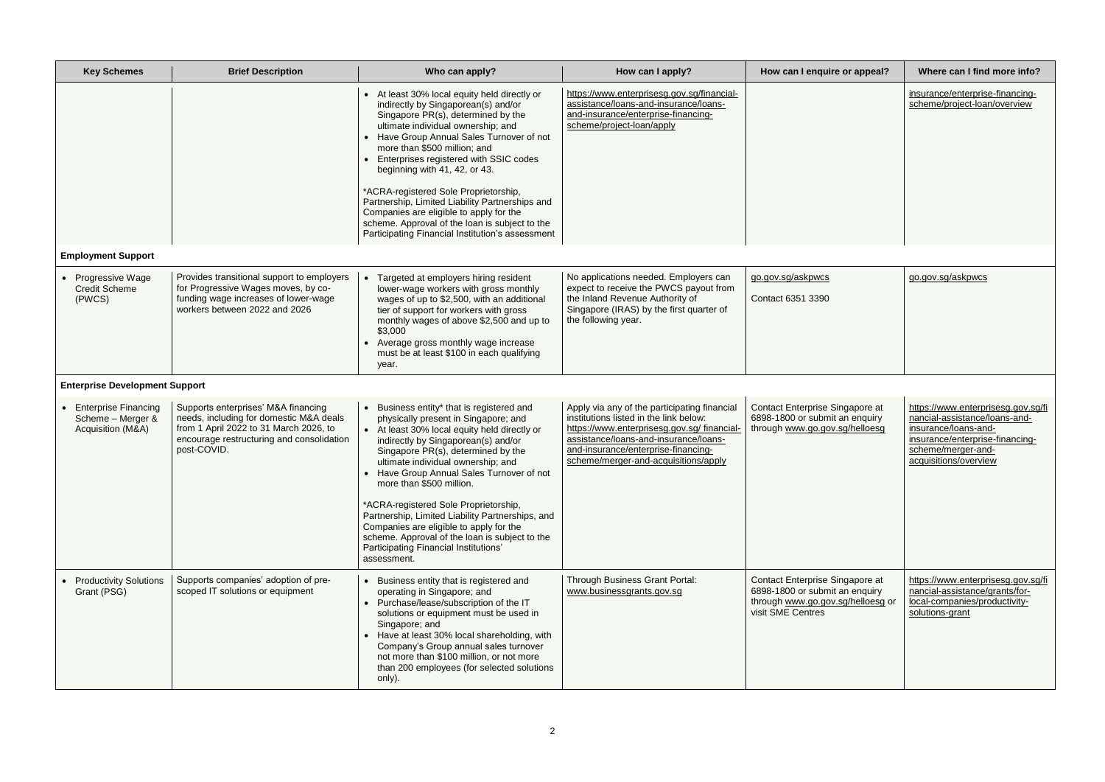| ire or appeal?                                    | Where can I find more info?                                                                                                                                                   |  |  |
|---------------------------------------------------|-------------------------------------------------------------------------------------------------------------------------------------------------------------------------------|--|--|
|                                                   | insurance/enterprise-financing-<br>scheme/project-loan/overview                                                                                                               |  |  |
|                                                   |                                                                                                                                                                               |  |  |
|                                                   | go.gov.sg/askpwcs                                                                                                                                                             |  |  |
|                                                   |                                                                                                                                                                               |  |  |
| Singapore at<br>it an enquiry<br>v.sg/helloesg    | https://www.enterprisesg.gov.sg/fi<br>nancial-assistance/loans-and-<br>insurance/loans-and-<br>insurance/enterprise-financing-<br>scheme/merger-and-<br>acquisitions/overview |  |  |
| Singapore at<br>it an enquiry<br>v.sg/helloesg or | https://www.enterprisesg.gov.sg/fi<br>nancial-assistance/grants/for-<br>local-companies/productivity-<br>solutions-grant                                                      |  |  |

| <b>Key Schemes</b>                                                    | <b>Brief Description</b>                                                                                                                                                             | Who can apply?                                                                                                                                                                                                                                                                                                                                                                                                                                                                                                                                                              | How can I apply?                                                                                                                                                                                                                                             | How can I enquire or appeal?                                                                                                | Where can I find more info?                                                                                                                                                |
|-----------------------------------------------------------------------|--------------------------------------------------------------------------------------------------------------------------------------------------------------------------------------|-----------------------------------------------------------------------------------------------------------------------------------------------------------------------------------------------------------------------------------------------------------------------------------------------------------------------------------------------------------------------------------------------------------------------------------------------------------------------------------------------------------------------------------------------------------------------------|--------------------------------------------------------------------------------------------------------------------------------------------------------------------------------------------------------------------------------------------------------------|-----------------------------------------------------------------------------------------------------------------------------|----------------------------------------------------------------------------------------------------------------------------------------------------------------------------|
|                                                                       |                                                                                                                                                                                      | • At least 30% local equity held directly or<br>indirectly by Singaporean(s) and/or<br>Singapore PR(s), determined by the<br>ultimate individual ownership; and<br>Have Group Annual Sales Turnover of not<br>more than \$500 million; and<br>Enterprises registered with SSIC codes<br>beginning with 41, 42, or 43.<br>*ACRA-registered Sole Proprietorship,<br>Partnership, Limited Liability Partnerships and<br>Companies are eligible to apply for the<br>scheme. Approval of the loan is subject to the<br>Participating Financial Institution's assessment          | https://www.enterprisesg.gov.sg/financial-<br>assistance/loans-and-insurance/loans-<br>and-insurance/enterprise-financing-<br>scheme/project-loan/apply                                                                                                      |                                                                                                                             | insurance/enterprise-financing-<br>scheme/project-loan/overview                                                                                                            |
| <b>Employment Support</b>                                             |                                                                                                                                                                                      |                                                                                                                                                                                                                                                                                                                                                                                                                                                                                                                                                                             |                                                                                                                                                                                                                                                              |                                                                                                                             |                                                                                                                                                                            |
| Progressive Wage<br><b>Credit Scheme</b><br>(PWCS)                    | Provides transitional support to employers<br>for Progressive Wages moves, by co-<br>funding wage increases of lower-wage<br>workers between 2022 and 2026                           | Targeted at employers hiring resident<br>lower-wage workers with gross monthly<br>wages of up to \$2,500, with an additional<br>tier of support for workers with gross<br>monthly wages of above \$2,500 and up to<br>\$3,000<br>Average gross monthly wage increase<br>must be at least \$100 in each qualifying<br>year.                                                                                                                                                                                                                                                  | No applications needed. Employers can<br>expect to receive the PWCS payout from<br>the Inland Revenue Authority of<br>Singapore (IRAS) by the first quarter of<br>the following year.                                                                        | go.gov.sg/askpwcs<br>Contact 6351 3390                                                                                      | go.gov.sg/askpwcs                                                                                                                                                          |
| <b>Enterprise Development Support</b>                                 |                                                                                                                                                                                      |                                                                                                                                                                                                                                                                                                                                                                                                                                                                                                                                                                             |                                                                                                                                                                                                                                                              |                                                                                                                             |                                                                                                                                                                            |
| <b>Enterprise Financing</b><br>Scheme - Merger &<br>Acquisition (M&A) | Supports enterprises' M&A financing<br>needs, including for domestic M&A deals<br>from 1 April 2022 to 31 March 2026, to<br>encourage restructuring and consolidation<br>post-COVID. | Business entity* that is registered and<br>physically present in Singapore; and<br>• At least 30% local equity held directly or<br>indirectly by Singaporean(s) and/or<br>Singapore PR(s), determined by the<br>ultimate individual ownership; and<br>Have Group Annual Sales Turnover of not<br>more than \$500 million.<br>*ACRA-registered Sole Proprietorship,<br>Partnership, Limited Liability Partnerships, and<br>Companies are eligible to apply for the<br>scheme. Approval of the loan is subject to the<br>Participating Financial Institutions'<br>assessment. | Apply via any of the participating financial<br>institutions listed in the link below:<br>https://www.enterprisesg.gov.sg/financial-<br>assistance/loans-and-insurance/loans-<br>and-insurance/enterprise-financing-<br>scheme/merger-and-acquisitions/apply | Contact Enterprise Singapore at<br>6898-1800 or submit an enquiry<br>through www.go.gov.sg/helloesg                         | https://www.enterprisesg.gov.sg<br>nancial-assistance/loans-and-<br>insurance/loans-and-<br>insurance/enterprise-financing-<br>scheme/merger-and-<br>acquisitions/overview |
| <b>Productivity Solutions</b><br>Grant (PSG)                          | Supports companies' adoption of pre-<br>scoped IT solutions or equipment                                                                                                             | Business entity that is registered and<br>operating in Singapore; and<br>Purchase/lease/subscription of the IT<br>solutions or equipment must be used in<br>Singapore; and<br>Have at least 30% local shareholding, with<br>Company's Group annual sales turnover<br>not more than \$100 million, or not more<br>than 200 employees (for selected solutions<br>only).                                                                                                                                                                                                       | Through Business Grant Portal:<br>www.businessgrants.gov.sg                                                                                                                                                                                                  | Contact Enterprise Singapore at<br>6898-1800 or submit an enquiry<br>through www.go.gov.sg/helloesg or<br>visit SME Centres | https://www.enterprisesg.gov.sg<br>nancial-assistance/grants/for-<br>local-companies/productivity-<br>solutions-grant                                                      |